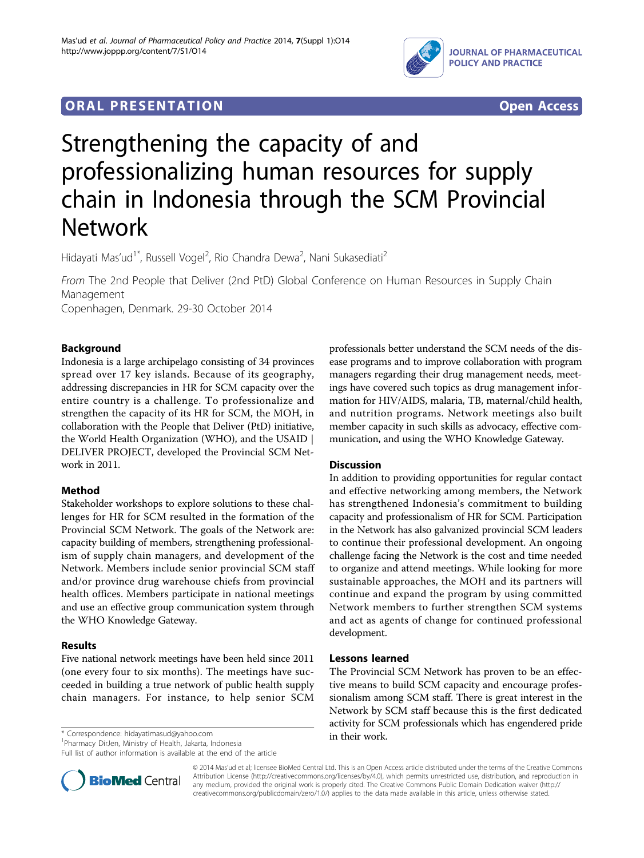

# **ORAL PRESENTATION CONSUMING A LIGAN CONSUMING A LIGAN CONSUMING A LIGAN CONSUMING A LIGAN CONSUMING A LIGAN CONSUMING A LIGAN CONSUMING A LIGAN CONSUMING A LIGAN CONSUMING A LIGAN CONSUMING A LIGAN CONSUMING A LIGAN CON**



# Strengthening the capacity of and professionalizing human resources for supply chain in Indonesia through the SCM Provincial Network

Hidayati Mas'ud<sup>1\*</sup>, Russell Vogel<sup>2</sup>, Rio Chandra Dewa<sup>2</sup>, Nani Sukasediati<sup>2</sup>

From The 2nd People that Deliver (2nd PtD) Global Conference on Human Resources in Supply Chain Management

Copenhagen, Denmark. 29-30 October 2014

# Background

Indonesia is a large archipelago consisting of 34 provinces spread over 17 key islands. Because of its geography, addressing discrepancies in HR for SCM capacity over the entire country is a challenge. To professionalize and strengthen the capacity of its HR for SCM, the MOH, in collaboration with the People that Deliver (PtD) initiative, the World Health Organization (WHO), and the USAID | DELIVER PROJECT, developed the Provincial SCM Network in 2011.

# Method

Stakeholder workshops to explore solutions to these challenges for HR for SCM resulted in the formation of the Provincial SCM Network. The goals of the Network are: capacity building of members, strengthening professionalism of supply chain managers, and development of the Network. Members include senior provincial SCM staff and/or province drug warehouse chiefs from provincial health offices. Members participate in national meetings and use an effective group communication system through the WHO Knowledge Gateway.

# Results

Five national network meetings have been held since 2011 (one every four to six months). The meetings have succeeded in building a true network of public health supply chain managers. For instance, to help senior SCM

in their work. \* Correspondence: [hidayatimasud@yahoo.com](mailto:hidayatimasud@yahoo.com)

<sup>1</sup> Pharmacy DirJen, Ministry of Health, Jakarta, Indonesia

Full list of author information is available at the end of the article



### **Discussion**

In addition to providing opportunities for regular contact and effective networking among members, the Network has strengthened Indonesia's commitment to building capacity and professionalism of HR for SCM. Participation in the Network has also galvanized provincial SCM leaders to continue their professional development. An ongoing challenge facing the Network is the cost and time needed to organize and attend meetings. While looking for more sustainable approaches, the MOH and its partners will continue and expand the program by using committed Network members to further strengthen SCM systems and act as agents of change for continued professional development.

### Lessons learned

The Provincial SCM Network has proven to be an effective means to build SCM capacity and encourage professionalism among SCM staff. There is great interest in the Network by SCM staff because this is the first dedicated activity for SCM professionals which has engendered pride



© 2014 Mas'ud et al; licensee BioMed Central Ltd. This is an Open Access article distributed under the terms of the Creative Commons Attribution License [\(http://creativecommons.org/licenses/by/4.0](http://creativecommons.org/licenses/by/4.0)), which permits unrestricted use, distribution, and reproduction in any medium, provided the original work is properly cited. The Creative Commons Public Domain Dedication waiver [\(http://](http://creativecommons.org/publicdomain/zero/1.0/) [creativecommons.org/publicdomain/zero/1.0/](http://creativecommons.org/publicdomain/zero/1.0/)) applies to the data made available in this article, unless otherwise stated.